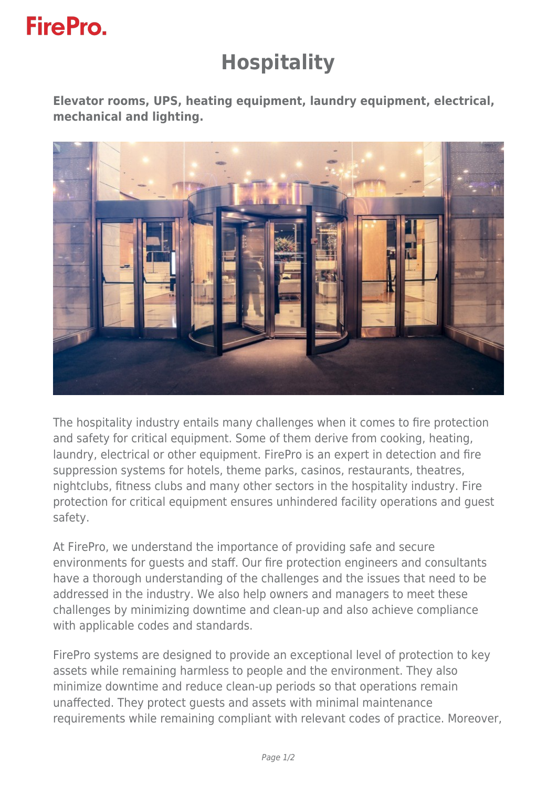## **FirePro.**

## **Hospitality**

**Elevator rooms, UPS, heating equipment, laundry equipment, electrical, mechanical and lighting.**



The hospitality industry entails many challenges when it comes to fire protection and safety for critical equipment. Some of them derive from cooking, heating, laundry, electrical or other equipment. FirePro is an expert in detection and fire suppression systems for hotels, theme parks, casinos, restaurants, theatres, nightclubs, fitness clubs and many other sectors in the hospitality industry. Fire protection for critical equipment ensures unhindered facility operations and guest safety.

At FirePro, we understand the importance of providing safe and secure environments for guests and staff. Our fire protection engineers and consultants have a thorough understanding of the challenges and the issues that need to be addressed in the industry. We also help owners and managers to meet these challenges by minimizing downtime and clean-up and also achieve compliance with applicable codes and standards.

FirePro systems are designed to provide an exceptional level of protection to key assets while remaining harmless to people and the environment. They also minimize downtime and reduce clean-up periods so that operations remain unaffected. They protect guests and assets with minimal maintenance requirements while remaining compliant with relevant codes of practice. Moreover,